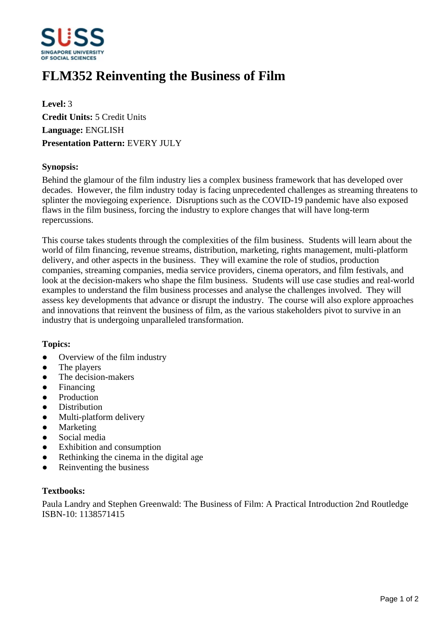

# **FLM352 Reinventing the Business of Film**

**Level:** 3 **Credit Units:** 5 Credit Units **Language:** ENGLISH **Presentation Pattern:** EVERY JULY

### **Synopsis:**

Behind the glamour of the film industry lies a complex business framework that has developed over decades. However, the film industry today is facing unprecedented challenges as streaming threatens to splinter the moviegoing experience. Disruptions such as the COVID-19 pandemic have also exposed flaws in the film business, forcing the industry to explore changes that will have long-term repercussions.

This course takes students through the complexities of the film business. Students will learn about the world of film financing, revenue streams, distribution, marketing, rights management, multi-platform delivery, and other aspects in the business. They will examine the role of studios, production companies, streaming companies, media service providers, cinema operators, and film festivals, and look at the decision-makers who shape the film business. Students will use case studies and real-world examples to understand the film business processes and analyse the challenges involved. They will assess key developments that advance or disrupt the industry. The course will also explore approaches and innovations that reinvent the business of film, as the various stakeholders pivot to survive in an industry that is undergoing unparalleled transformation.

#### **Topics:**

- Overview of the film industry
- The players
- The decision-makers
- Financing
- Production
- **Distribution**
- Multi-platform delivery
- Marketing
- Social media
- Exhibition and consumption
- Rethinking the cinema in the digital age
- Reinventing the business

#### **Textbooks:**

Paula Landry and Stephen Greenwald: The Business of Film: A Practical Introduction 2nd Routledge ISBN-10: 1138571415